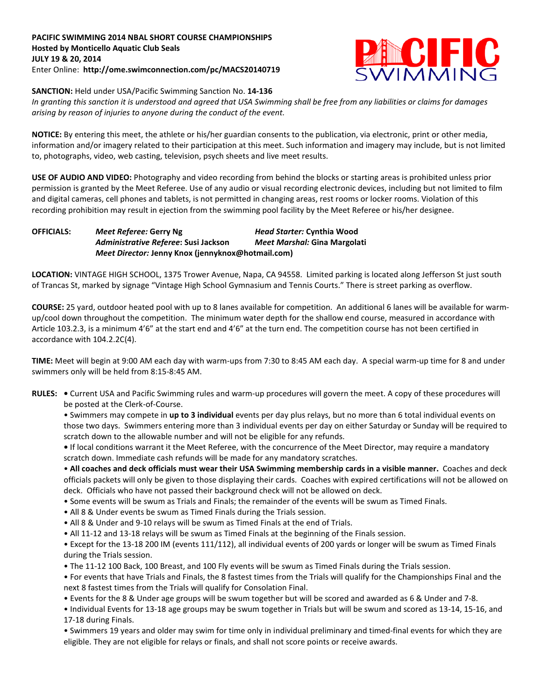## **PACIFIC SWIMMING 2014 NBAL SHORT COURSE CHAMPIONSHIPS Hosted by Monticello Aquatic Club Seals JULY 19 & 20, 2014** Enter Online: **http://ome.swimconnection.com/pc/MACS20140719**



**SANCTION:** Held under USA/Pacific Swimming Sanction No. **14-136**

*In granting this sanction it is understood and agreed that USA Swimming shall be free from any liabilities or claims for damages arising by reason of injuries to anyone during the conduct of the event.*

**NOTICE:** By entering this meet, the athlete or his/her guardian consents to the publication, via electronic, print or other media, information and/or imagery related to their participation at this meet. Such information and imagery may include, but is not limited to, photographs, video, web casting, television, psych sheets and live meet results.

**USE OF AUDIO AND VIDEO:** Photography and video recording from behind the blocks or starting areas is prohibited unless prior permission is granted by the Meet Referee. Use of any audio or visual recording electronic devices, including but not limited to film and digital cameras, cell phones and tablets, is not permitted in changing areas, rest rooms or locker rooms. Violation of this recording prohibition may result in ejection from the swimming pool facility by the Meet Referee or his/her designee.

**OFFICIALS:** *Meet Referee:* **Gerry Ng** *Head Starter:* **Cynthia Wood** *Administrative Referee***: Susi Jackson** *Meet Marshal:* **Gina Margolati** *Meet Director:* **Jenny Knox (jennyknox@hotmail.com)**

**LOCATION:** VINTAGE HIGH SCHOOL, 1375 Trower Avenue, Napa, CA 94558. Limited parking is located along Jefferson St just south of Trancas St, marked by signage "Vintage High School Gymnasium and Tennis Courts." There is street parking as overflow.

**COURSE:** 25 yard, outdoor heated pool with up to 8 lanes available for competition. An additional 6 lanes will be available for warmup/cool down throughout the competition. The minimum water depth for the shallow end course, measured in accordance with Article 103.2.3, is a minimum 4'6" at the start end and 4'6" at the turn end. The competition course has not been certified in accordance with 104.2.2C(4).

**TIME:** Meet will begin at 9:00 AM each day with warm-ups from 7:30 to 8:45 AM each day. A special warm-up time for 8 and under swimmers only will be held from 8:15-8:45 AM.

**RULES: •** Current USA and Pacific Swimming rules and warm-up procedures will govern the meet. A copy of these procedures will be posted at the Clerk-of-Course.

• Swimmers may compete in **up to 3 individual** events per day plus relays, but no more than 6 total individual events on those two days. Swimmers entering more than 3 individual events per day on either Saturday or Sunday will be required to scratch down to the allowable number and will not be eligible for any refunds.

**•** If local conditions warrant it the Meet Referee, with the concurrence of the Meet Director, may require a mandatory scratch down. Immediate cash refunds will be made for any mandatory scratches.

• **All coaches and deck officials must wear their USA Swimming membership cards in a visible manner.** Coaches and deck officials packets will only be given to those displaying their cards. Coaches with expired certifications will not be allowed on deck. Officials who have not passed their background check will not be allowed on deck.

- Some events will be swum as Trials and Finals; the remainder of the events will be swum as Timed Finals.
- All 8 & Under events be swum as Timed Finals during the Trials session.
- All 8 & Under and 9-10 relays will be swum as Timed Finals at the end of Trials.
- All 11-12 and 13-18 relays will be swum as Timed Finals at the beginning of the Finals session.

• Except for the 13-18 200 IM (events 111/112), all individual events of 200 yards or longer will be swum as Timed Finals during the Trials session.

• The 11-12 100 Back, 100 Breast, and 100 Fly events will be swum as Timed Finals during the Trials session.

• For events that have Trials and Finals, the 8 fastest times from the Trials will qualify for the Championships Final and the next 8 fastest times from the Trials will qualify for Consolation Final.

• Events for the 8 & Under age groups will be swum together but will be scored and awarded as 6 & Under and 7-8.

• Individual Events for 13-18 age groups may be swum together in Trials but will be swum and scored as 13-14, 15-16, and 17-18 during Finals.

• Swimmers 19 years and older may swim for time only in individual preliminary and timed-final events for which they are eligible. They are not eligible for relays or finals, and shall not score points or receive awards.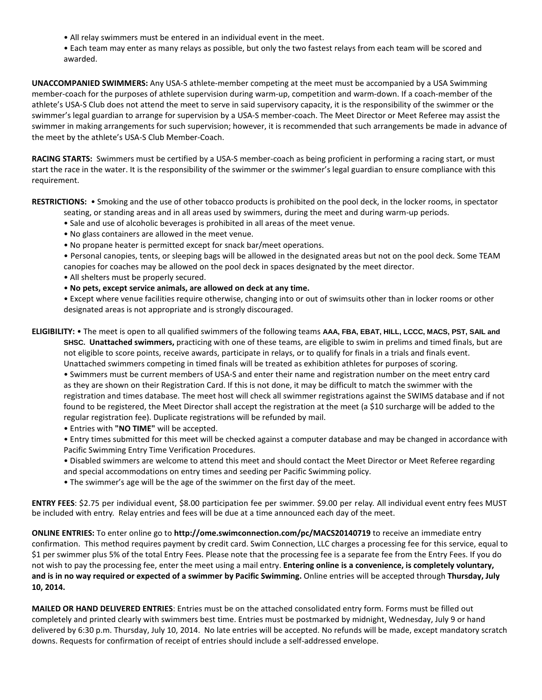- All relay swimmers must be entered in an individual event in the meet.
- Each team may enter as many relays as possible, but only the two fastest relays from each team will be scored and awarded.

**UNACCOMPANIED SWIMMERS:** Any USA-S athlete-member competing at the meet must be accompanied by a USA Swimming member-coach for the purposes of athlete supervision during warm-up, competition and warm-down. If a coach-member of the athlete's USA-S Club does not attend the meet to serve in said supervisory capacity, it is the responsibility of the swimmer or the swimmer's legal guardian to arrange for supervision by a USA-S member-coach. The Meet Director or Meet Referee may assist the swimmer in making arrangements for such supervision; however, it is recommended that such arrangements be made in advance of the meet by the athlete's USA-S Club Member-Coach.

**RACING STARTS:** Swimmers must be certified by a USA-S member-coach as being proficient in performing a racing start, or must start the race in the water. It is the responsibility of the swimmer or the swimmer's legal guardian to ensure compliance with this requirement.

**RESTRICTIONS:** • Smoking and the use of other tobacco products is prohibited on the pool deck, in the locker rooms, in spectator

- seating, or standing areas and in all areas used by swimmers, during the meet and during warm-up periods.
- Sale and use of alcoholic beverages is prohibited in all areas of the meet venue.
- No glass containers are allowed in the meet venue.
- No propane heater is permitted except for snack bar/meet operations.

• Personal canopies, tents, or sleeping bags will be allowed in the designated areas but not on the pool deck. Some TEAM canopies for coaches may be allowed on the pool deck in spaces designated by the meet director.

- All shelters must be properly secured.
- **No pets, except service animals, are allowed on deck at any time.**
- Except where venue facilities require otherwise, changing into or out of swimsuits other than in locker rooms or other designated areas is not appropriate and is strongly discouraged.

**ELIGIBILITY:** • The meet is open to all qualified swimmers of the following teams **AAA, FBA, EBAT, HILL, LCCC, MACS, PST, SAIL and SHSC. Unattached swimmers,** practicing with one of these teams, are eligible to swim in prelims and timed finals, but are not eligible to score points, receive awards, participate in relays, or to qualify for finals in a trials and finals event.

Unattached swimmers competing in timed finals will be treated as exhibition athletes for purposes of scoring. • Swimmers must be current members of USA-S and enter their name and registration number on the meet entry card as they are shown on their Registration Card. If this is not done, it may be difficult to match the swimmer with the registration and times database. The meet host will check all swimmer registrations against the SWIMS database and if not found to be registered, the Meet Director shall accept the registration at the meet (a \$10 surcharge will be added to the regular registration fee). Duplicate registrations will be refunded by mail.

• Entries with **"NO TIME"** will be accepted.

• Entry times submitted for this meet will be checked against a computer database and may be changed in accordance with Pacific Swimming Entry Time Verification Procedures.

- Disabled swimmers are welcome to attend this meet and should contact the Meet Director or Meet Referee regarding and special accommodations on entry times and seeding per Pacific Swimming policy.
- The swimmer's age will be the age of the swimmer on the first day of the meet.

**ENTRY FEES**: \$2.75 per individual event, \$8.00 participation fee per swimmer. \$9.00 per relay. All individual event entry fees MUST be included with entry. Relay entries and fees will be due at a time announced each day of the meet.

**ONLINE ENTRIES:** To enter online go to **http://ome.swimconnection.com/pc/MACS20140719** to receive an immediate entry confirmation. This method requires payment by credit card. Swim Connection, LLC charges a processing fee for this service, equal to \$1 per swimmer plus 5% of the total Entry Fees. Please note that the processing fee is a separate fee from the Entry Fees. If you do not wish to pay the processing fee, enter the meet using a mail entry. **Entering online is a convenience, is completely voluntary, and is in no way required or expected of a swimmer by Pacific Swimming.** Online entries will be accepted through **Thursday, July 10, 2014.**

**MAILED OR HAND DELIVERED ENTRIES**: Entries must be on the attached consolidated entry form. Forms must be filled out completely and printed clearly with swimmers best time. Entries must be postmarked by midnight, Wednesday, July 9 or hand delivered by 6:30 p.m. Thursday, July 10, 2014. No late entries will be accepted. No refunds will be made, except mandatory scratch downs. Requests for confirmation of receipt of entries should include a self-addressed envelope.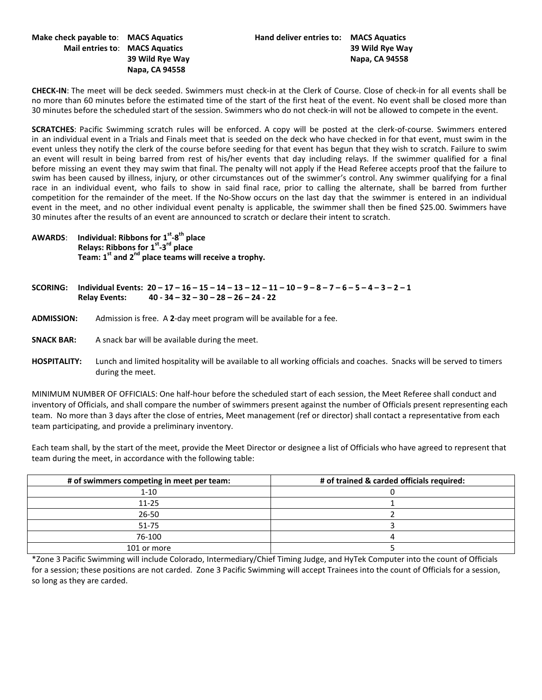## **Napa, CA 94558**

**CHECK-IN**: The meet will be deck seeded. Swimmers must check-in at the Clerk of Course. Close of check-in for all events shall be no more than 60 minutes before the estimated time of the start of the first heat of the event. No event shall be closed more than 30 minutes before the scheduled start of the session. Swimmers who do not check-in will not be allowed to compete in the event.

**SCRATCHES**: Pacific Swimming scratch rules will be enforced. A copy will be posted at the clerk-of-course. Swimmers entered in an individual event in a Trials and Finals meet that is seeded on the deck who have checked in for that event, must swim in the event unless they notify the clerk of the course before seeding for that event has begun that they wish to scratch. Failure to swim an event will result in being barred from rest of his/her events that day including relays. If the swimmer qualified for a final before missing an event they may swim that final. The penalty will not apply if the Head Referee accepts proof that the failure to swim has been caused by illness, injury, or other circumstances out of the swimmer's control. Any swimmer qualifying for a final race in an individual event, who fails to show in said final race, prior to calling the alternate, shall be barred from further competition for the remainder of the meet. If the No-Show occurs on the last day that the swimmer is entered in an individual event in the meet, and no other individual event penalty is applicable, the swimmer shall then be fined \$25.00. Swimmers have 30 minutes after the results of an event are announced to scratch or declare their intent to scratch.

**AWARDS**: **Individual: Ribbons for 1st -8th place Relays: Ribbons for 1st -3rd place Team: 1st and 2nd place teams will receive a trophy.** 

SCORING: Individual Events:  $20 - 17 - 16 - 15 - 14 - 13 - 12 - 11 - 10 - 9 - 8 - 7 - 6 - 5 - 4 - 3 - 2 - 1$  **Relay Events: 40 - 34 – 32 – 30 – 28 – 26 – 24 - 22**

- **ADMISSION:** Admission is free. A **2**-day meet program will be available for a fee.
- **SNACK BAR:** A snack bar will be available during the meet.
- **HOSPITALITY:** Lunch and limited hospitality will be available to all working officials and coaches. Snacks will be served to timers during the meet.

MINIMUM NUMBER OF OFFICIALS: One half-hour before the scheduled start of each session, the Meet Referee shall conduct and inventory of Officials, and shall compare the number of swimmers present against the number of Officials present representing each team. No more than 3 days after the close of entries, Meet management (ref or director) shall contact a representative from each team participating, and provide a preliminary inventory.

Each team shall, by the start of the meet, provide the Meet Director or designee a list of Officials who have agreed to represent that team during the meet, in accordance with the following table:

| # of swimmers competing in meet per team: | # of trained & carded officials required: |
|-------------------------------------------|-------------------------------------------|
| $1 - 10$                                  |                                           |
| $11 - 25$                                 |                                           |
| $26 - 50$                                 |                                           |
| $51 - 75$                                 |                                           |
| 76-100                                    |                                           |
| 101 or more                               |                                           |

\*Zone 3 Pacific Swimming will include Colorado, Intermediary/Chief Timing Judge, and HyTek Computer into the count of Officials for a session; these positions are not carded. Zone 3 Pacific Swimming will accept Trainees into the count of Officials for a session, so long as they are carded.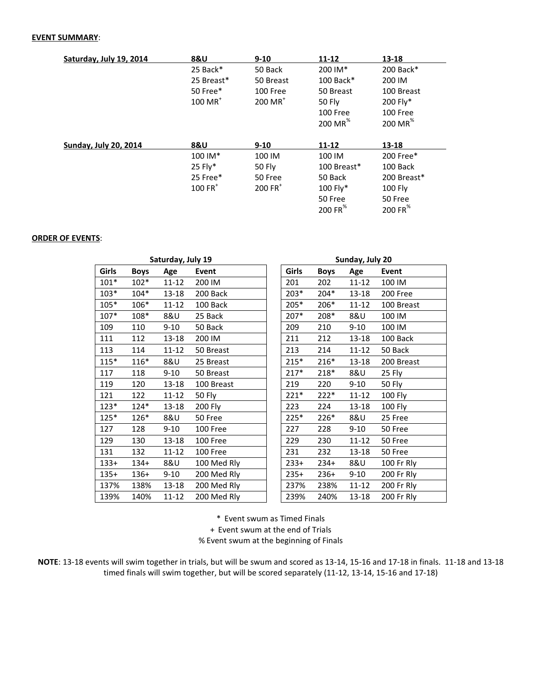## **EVENT SUMMARY**:

| Saturday, July 19, 2014      | <b>8&amp;U</b>        | $9 - 10$              | $11 - 12$           | $13 - 18$           |  |  |
|------------------------------|-----------------------|-----------------------|---------------------|---------------------|--|--|
|                              | 25 Back*              | 50 Back               | 200 IM*             | 200 Back*           |  |  |
|                              | 25 Breast*            | 50 Breast             | 100 Back*           | 200 IM              |  |  |
|                              | 50 Free*              | 100 Free              | 50 Breast           | 100 Breast          |  |  |
|                              | $100$ MR <sup>+</sup> | $200$ MR <sup>+</sup> | <b>50 Fly</b>       | 200 Fly*            |  |  |
|                              |                       |                       | 100 Free            | 100 Free            |  |  |
|                              |                       |                       | 200 MR $^*$         | 200 MR <sup>%</sup> |  |  |
|                              |                       |                       |                     |                     |  |  |
| <b>Sunday, July 20, 2014</b> | <b>8&amp;U</b>        | $9 - 10$              | $11 - 12$           | $13 - 18$           |  |  |
|                              | 100 IM*               | 100 IM                | 100 IM              | 200 Free*           |  |  |
|                              | 25 Fly*               | 50 Fly                | 100 Breast*         | 100 Back            |  |  |
|                              | 25 Free*              | 50 Free               | 50 Back             | 200 Breast*         |  |  |
|                              | $100$ FR <sup>+</sup> | $200$ FR <sup>+</sup> | 100 Fly*            | <b>100 Fly</b>      |  |  |
|                              |                       |                       | 50 Free             | 50 Free             |  |  |
|                              |                       |                       | 200 FR <sup>%</sup> | 200 FR <sup>%</sup> |  |  |

## **ORDER OF EVENTS**:

|        |             | Saturday, July 19 |             |       | Sunday, July 20 |             |           |            |  |
|--------|-------------|-------------------|-------------|-------|-----------------|-------------|-----------|------------|--|
| Girls  | <b>Boys</b> | Age               | Event       | Girls |                 | <b>Boys</b> | Age       | Event      |  |
| $101*$ | $102*$      | $11 - 12$         | 200 IM      |       | 201             | 202         | $11 - 12$ | 100 IM     |  |
| $103*$ | $104*$      | 13-18             | 200 Back    |       | $203*$          | 204*        | 13-18     | 200 Free   |  |
| $105*$ | 106*        | $11 - 12$         | 100 Back    |       | 205*            | 206*        | $11 - 12$ | 100 Breast |  |
| $107*$ | 108*        | 8&U               | 25 Back     |       | 207*            | 208*        | 8&U       | 100 IM     |  |
| 109    | 110         | $9 - 10$          | 50 Back     |       | 209             | 210         | $9 - 10$  | 100 IM     |  |
| 111    | 112         | $13 - 18$         | 200 IM      |       | 211             | 212         | 13-18     | 100 Back   |  |
| 113    | 114         | $11 - 12$         | 50 Breast   |       | 213             | 214         | 11-12     | 50 Back    |  |
| $115*$ | $116*$      | 8&U               | 25 Breast   |       | $215*$          | $216*$      | 13-18     | 200 Breast |  |
| 117    | 118         | $9 - 10$          | 50 Breast   |       | $217*$          | $218*$      | 8&U       | 25 Fly     |  |
| 119    | 120         | $13 - 18$         | 100 Breast  |       | 219             | 220         | $9 - 10$  | 50 Fly     |  |
| 121    | 122         | $11 - 12$         | 50 Fly      |       | $221*$          | $222*$      | $11 - 12$ | 100 Fly    |  |
| $123*$ | $124*$      | $13 - 18$         | 200 Fly     |       | 223             | 224         | 13-18     | 100 Fly    |  |
| $125*$ | 126*        | 8&U               | 50 Free     |       | 225*            | 226*        | 8&U       | 25 Free    |  |
| 127    | 128         | $9 - 10$          | 100 Free    |       | 227             | 228         | $9 - 10$  | 50 Free    |  |
| 129    | 130         | 13-18             | 100 Free    |       | 229             | 230         | $11 - 12$ | 50 Free    |  |
| 131    | 132         | $11 - 12$         | 100 Free    |       | 231             | 232         | 13-18     | 50 Free    |  |
| $133+$ | $134+$      | 8&U               | 100 Med Rly |       | $233+$          | $234+$      | 8&U       | 100 Fr Rly |  |
| $135+$ | $136+$      | $9 - 10$          | 200 Med Rly |       | $235+$          | $236+$      | $9 - 10$  | 200 Fr Rly |  |
| 137%   | 138%        | 13-18             | 200 Med Rly |       | 237%            | 238%        | 11-12     | 200 Fr Rly |  |
| 139%   | 140%        | $11 - 12$         | 200 Med Rly |       | 239%            | 240%        | 13-18     | 200 Fr Rly |  |

\* Event swum as Timed Finals

+ Event swum at the end of Trials

% Event swum at the beginning of Finals

**NOTE**: 13-18 events will swim together in trials, but will be swum and scored as 13-14, 15-16 and 17-18 in finals. 11-18 and 13-18 timed finals will swim together, but will be scored separately (11-12, 13-14, 15-16 and 17-18)